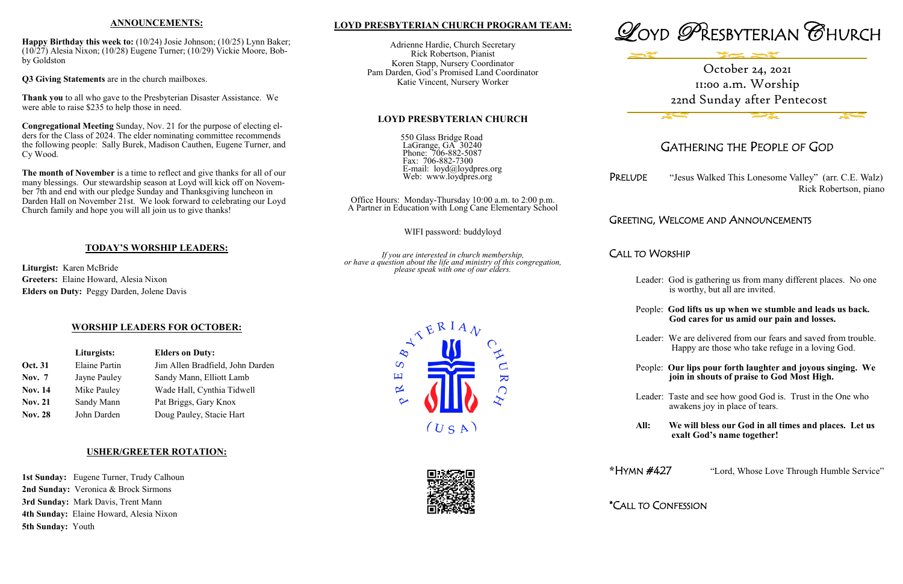## **LOYD PRESBYTERIAN CHURCH PROGRAM TEAM:**

Adrienne Hardie, Church Secretary Rick Robertson, Pianist Koren Stapp, Nursery Coordinator Pam Darden, God's Promised Land Coordinator Katie Vincent, Nursery Worker

#### **LOYD PRESBYTERIAN CHURCH**

550 Glass Bridge Road LaGrange, GA 30240 Phone: 706-882-5087 Fax: 706-882-7300 E-mail: loyd@loydpres.org Web: www.loydpres.org

PRELUDE "Jesus Walked This Lonesome Valley" (arr. C.E. Walz) Rick Robertson, piano

Office Hours: Monday-Thursday 10:00 a.m. to 2:00 p.m. A Partner in Education with Long Cane Elementary School

WIFI password: buddyloyd

*If you are interested in church membership, or have a question about the life and ministry of this congregation, please speak with one of our elders.*

> $\overline{S}$ 凹

 $\propto$ 



# GATHERING THE PEOPLE OF GOD

## GREETING, WELCOME AND ANNOUNCEMENTS

CALL TO WORSHIP

- Leader: God is gathering us from many different places. No one is worthy, but all are invited.
- People: **God lifts us up when we stumble and leads us back. God cares for us amid our pain and losses.**
- Leader: We are delivered from our fears and saved from trouble. Happy are those who take refuge in a loving God.
- People: **Our lips pour forth laughter and joyous singing. We join in shouts of praise to God Most High.**
- Leader: Taste and see how good God is. Trust in the One who awakens joy in place of tears.
- **All: We will bless our God in all times and places. Let us exalt God's name together!**
- **\***HYMN #427 "Lord, Whose Love Through Humble Service"

\*CALL TO CONFESSION



 $(U S A)$ 

 $\overline{\mathbf{K}}$ 



## **ANNOUNCEMENTS:**

**Happy Birthday this week to:** (10/24) Josie Johnson; (10/25) Lynn Baker; (10/27) Alesia Nixon; (10/28) Eugene Turner; (10/29) Vickie Moore, Bobby Goldston

**Q3 Giving Statements** are in the church mailboxes.

**Thank you** to all who gave to the Presbyterian Disaster Assistance. We were able to raise \$235 to help those in need.

**Congregational Meeting** Sunday, Nov. 21 for the purpose of electing elders for the Class of 2024. The elder nominating committee recommends the following people: Sally Burek, Madison Cauthen, Eugene Turner, and Cy Wood.

**The month of November** is a time to reflect and give thanks for all of our many blessings. Our stewardship season at Loyd will kick off on November 7th and end with our pledge Sunday and Thanksgiving luncheon in Darden Hall on November 21st. We look forward to celebrating our Loyd Church family and hope you will all join us to give thanks!

## **TODAY'S WORSHIP LEADERS:**

**Liturgist:** Karen McBride **Greeters:** Elaine Howard, Alesia Nixon **Elders on Duty:** Peggy Darden, Jolene Davis

## **WORSHIP LEADERS FOR OCTOBER:**

|                | Liturgists:          | <b>Elders on Duty:</b><br>Jim Allen Bradfield, John Darden |  |
|----------------|----------------------|------------------------------------------------------------|--|
| Oct. 31        | <b>Elaine Partin</b> |                                                            |  |
| <b>Nov.</b> 7  | Jayne Pauley         | Sandy Mann, Elliott Lamb                                   |  |
| <b>Nov. 14</b> | Mike Pauley          | Wade Hall, Cynthia Tidwell                                 |  |
| <b>Nov. 21</b> | Sandy Mann           | Pat Briggs, Gary Knox                                      |  |
| <b>Nov. 28</b> | John Darden          | Doug Pauley, Stacie Hart                                   |  |

#### **USHER/GREETER ROTATION:**

**1st Sunday:** Eugene Turner, Trudy Calhoun **2nd Sunday:** Veronica & Brock Sirmons **3rd Sunday:** Mark Davis, Trent Mann **4th Sunday:** Elaine Howard, Alesia Nixon **5th Sunday:** Youth

# October 24, 2021 11:00 a.m. Worship 22nd Sunday after Pentecost